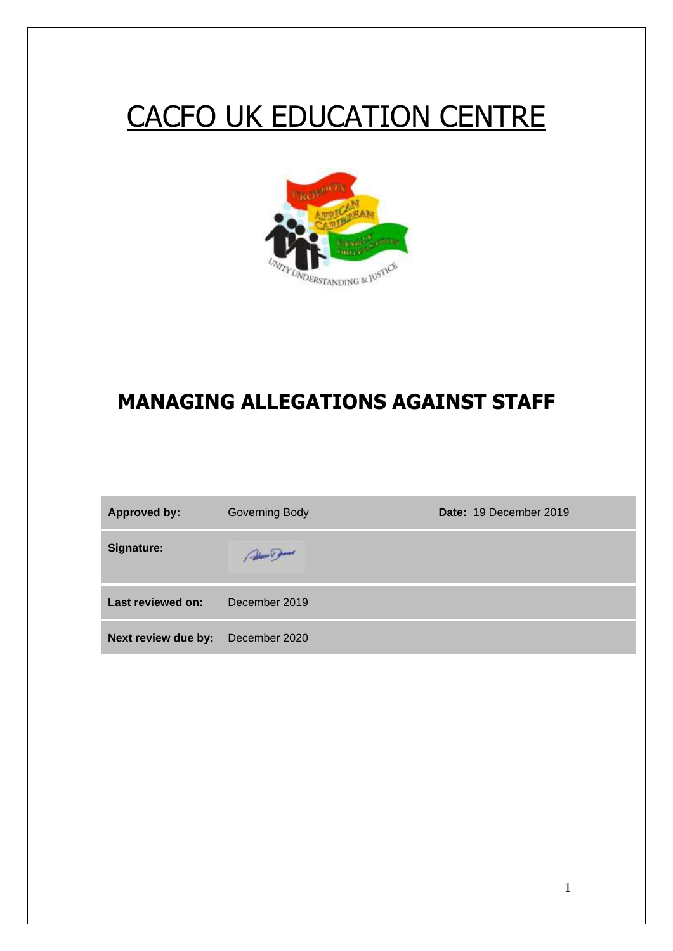# CACFO UK EDUCATION CENTRE



# **MANAGING ALLEGATIONS AGAINST STAFF**

| <b>Approved by:</b> | <b>Governing Body</b> | Date: 19 December 2019 |
|---------------------|-----------------------|------------------------|
| Signature:          | March Dames           |                        |
| Last reviewed on:   | December 2019         |                        |
| Next review due by: | December 2020         |                        |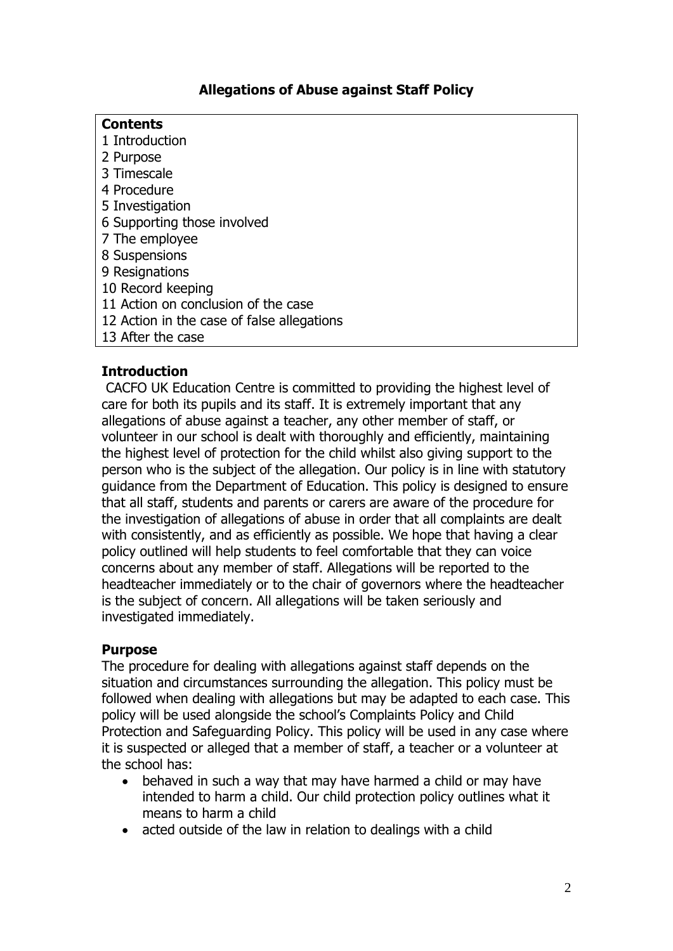# **Allegations of Abuse against Staff Policy**

| <b>Contents</b>                            |  |
|--------------------------------------------|--|
| 1 Introduction                             |  |
| 2 Purpose                                  |  |
| 3 Timescale                                |  |
| 4 Procedure                                |  |
| 5 Investigation                            |  |
| 6 Supporting those involved                |  |
| 7 The employee                             |  |
| 8 Suspensions                              |  |
| 9 Resignations                             |  |
| 10 Record keeping                          |  |
| 11 Action on conclusion of the case        |  |
| 12 Action in the case of false allegations |  |
| 13 After the case                          |  |

# **Introduction**

CACFO UK Education Centre is committed to providing the highest level of care for both its pupils and its staff. It is extremely important that any allegations of abuse against a teacher, any other member of staff, or volunteer in our school is dealt with thoroughly and efficiently, maintaining the highest level of protection for the child whilst also giving support to the person who is the subject of the allegation. Our policy is in line with statutory guidance from the Department of Education. This policy is designed to ensure that all staff, students and parents or carers are aware of the procedure for the investigation of allegations of abuse in order that all complaints are dealt with consistently, and as efficiently as possible. We hope that having a clear policy outlined will help students to feel comfortable that they can voice concerns about any member of staff. Allegations will be reported to the headteacher immediately or to the chair of governors where the headteacher is the subject of concern. All allegations will be taken seriously and investigated immediately.

# **Purpose**

The procedure for dealing with allegations against staff depends on the situation and circumstances surrounding the allegation. This policy must be followed when dealing with allegations but may be adapted to each case. This policy will be used alongside the school's Complaints Policy and Child Protection and Safeguarding Policy. This policy will be used in any case where it is suspected or alleged that a member of staff, a teacher or a volunteer at the school has:

- behaved in such a way that may have harmed a child or may have intended to harm a child. Our child protection policy outlines what it means to harm a child
- acted outside of the law in relation to dealings with a child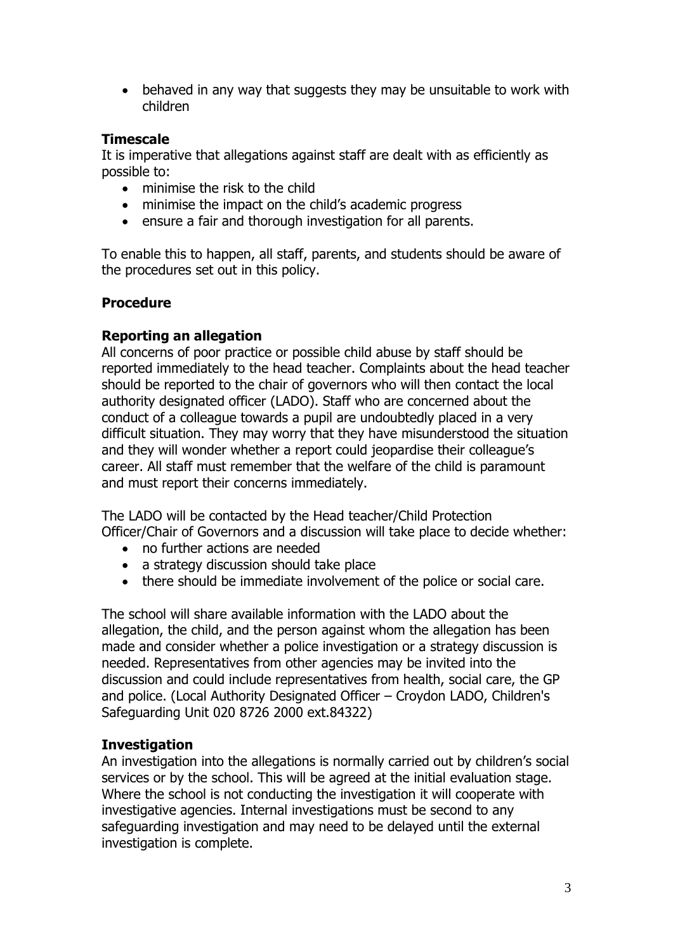• behaved in any way that suggests they may be unsuitable to work with children

# **Timescale**

It is imperative that allegations against staff are dealt with as efficiently as possible to:

- minimise the risk to the child
- minimise the impact on the child's academic progress
- ensure a fair and thorough investigation for all parents.

To enable this to happen, all staff, parents, and students should be aware of the procedures set out in this policy.

#### **Procedure**

# **Reporting an allegation**

All concerns of poor practice or possible child abuse by staff should be reported immediately to the head teacher. Complaints about the head teacher should be reported to the chair of governors who will then contact the local authority designated officer (LADO). Staff who are concerned about the conduct of a colleague towards a pupil are undoubtedly placed in a very difficult situation. They may worry that they have misunderstood the situation and they will wonder whether a report could jeopardise their colleague's career. All staff must remember that the welfare of the child is paramount and must report their concerns immediately.

The LADO will be contacted by the Head teacher/Child Protection Officer/Chair of Governors and a discussion will take place to decide whether:

- no further actions are needed
- a strategy discussion should take place
- there should be immediate involvement of the police or social care.

The school will share available information with the LADO about the allegation, the child, and the person against whom the allegation has been made and consider whether a police investigation or a strategy discussion is needed. Representatives from other agencies may be invited into the discussion and could include representatives from health, social care, the GP and police. (Local Authority Designated Officer – Croydon LADO, Children's Safeguarding Unit 020 8726 2000 ext.84322)

# **Investigation**

An investigation into the allegations is normally carried out by children's social services or by the school. This will be agreed at the initial evaluation stage. Where the school is not conducting the investigation it will cooperate with investigative agencies. Internal investigations must be second to any safeguarding investigation and may need to be delayed until the external investigation is complete.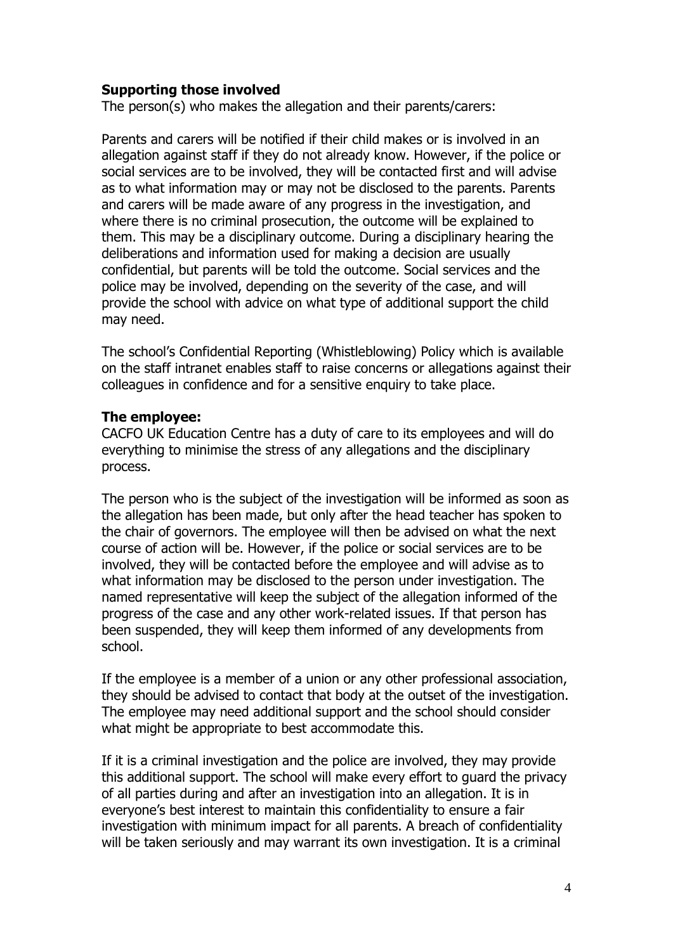# **Supporting those involved**

The person(s) who makes the allegation and their parents/carers:

Parents and carers will be notified if their child makes or is involved in an allegation against staff if they do not already know. However, if the police or social services are to be involved, they will be contacted first and will advise as to what information may or may not be disclosed to the parents. Parents and carers will be made aware of any progress in the investigation, and where there is no criminal prosecution, the outcome will be explained to them. This may be a disciplinary outcome. During a disciplinary hearing the deliberations and information used for making a decision are usually confidential, but parents will be told the outcome. Social services and the police may be involved, depending on the severity of the case, and will provide the school with advice on what type of additional support the child may need.

The school's Confidential Reporting (Whistleblowing) Policy which is available on the staff intranet enables staff to raise concerns or allegations against their colleagues in confidence and for a sensitive enquiry to take place.

#### **The employee:**

CACFO UK Education Centre has a duty of care to its employees and will do everything to minimise the stress of any allegations and the disciplinary process.

The person who is the subject of the investigation will be informed as soon as the allegation has been made, but only after the head teacher has spoken to the chair of governors. The employee will then be advised on what the next course of action will be. However, if the police or social services are to be involved, they will be contacted before the employee and will advise as to what information may be disclosed to the person under investigation. The named representative will keep the subject of the allegation informed of the progress of the case and any other work-related issues. If that person has been suspended, they will keep them informed of any developments from school.

If the employee is a member of a union or any other professional association, they should be advised to contact that body at the outset of the investigation. The employee may need additional support and the school should consider what might be appropriate to best accommodate this.

If it is a criminal investigation and the police are involved, they may provide this additional support. The school will make every effort to guard the privacy of all parties during and after an investigation into an allegation. It is in everyone's best interest to maintain this confidentiality to ensure a fair investigation with minimum impact for all parents. A breach of confidentiality will be taken seriously and may warrant its own investigation. It is a criminal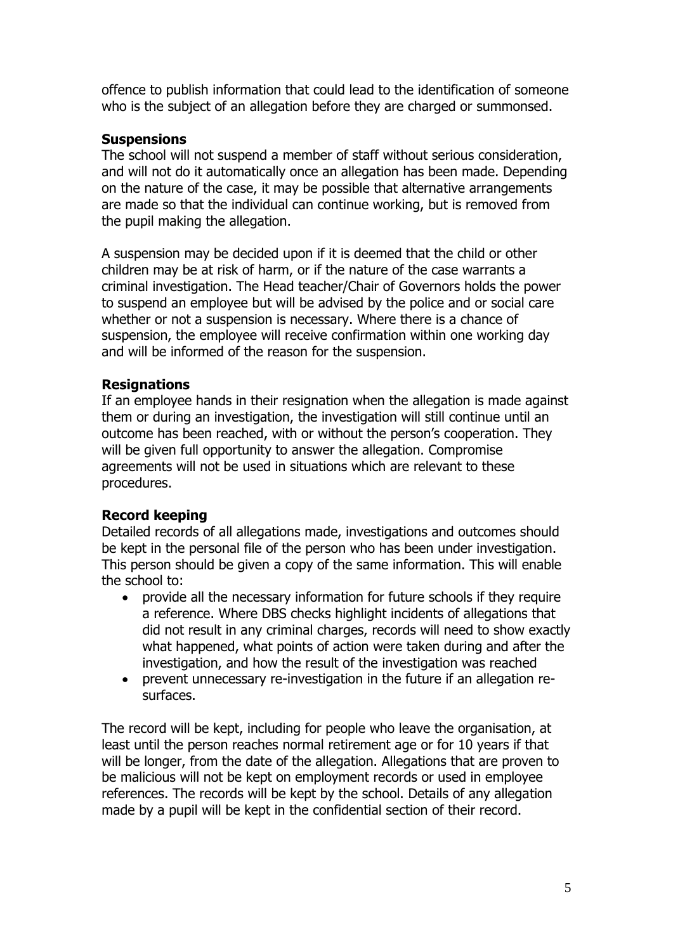offence to publish information that could lead to the identification of someone who is the subject of an allegation before they are charged or summonsed.

# **Suspensions**

The school will not suspend a member of staff without serious consideration, and will not do it automatically once an allegation has been made. Depending on the nature of the case, it may be possible that alternative arrangements are made so that the individual can continue working, but is removed from the pupil making the allegation.

A suspension may be decided upon if it is deemed that the child or other children may be at risk of harm, or if the nature of the case warrants a criminal investigation. The Head teacher/Chair of Governors holds the power to suspend an employee but will be advised by the police and or social care whether or not a suspension is necessary. Where there is a chance of suspension, the employee will receive confirmation within one working day and will be informed of the reason for the suspension.

# **Resignations**

If an employee hands in their resignation when the allegation is made against them or during an investigation, the investigation will still continue until an outcome has been reached, with or without the person's cooperation. They will be given full opportunity to answer the allegation. Compromise agreements will not be used in situations which are relevant to these procedures.

# **Record keeping**

Detailed records of all allegations made, investigations and outcomes should be kept in the personal file of the person who has been under investigation. This person should be given a copy of the same information. This will enable the school to:

- provide all the necessary information for future schools if they require a reference. Where DBS checks highlight incidents of allegations that did not result in any criminal charges, records will need to show exactly what happened, what points of action were taken during and after the investigation, and how the result of the investigation was reached
- prevent unnecessary re-investigation in the future if an allegation resurfaces.

The record will be kept, including for people who leave the organisation, at least until the person reaches normal retirement age or for 10 years if that will be longer, from the date of the allegation. Allegations that are proven to be malicious will not be kept on employment records or used in employee references. The records will be kept by the school. Details of any allegation made by a pupil will be kept in the confidential section of their record.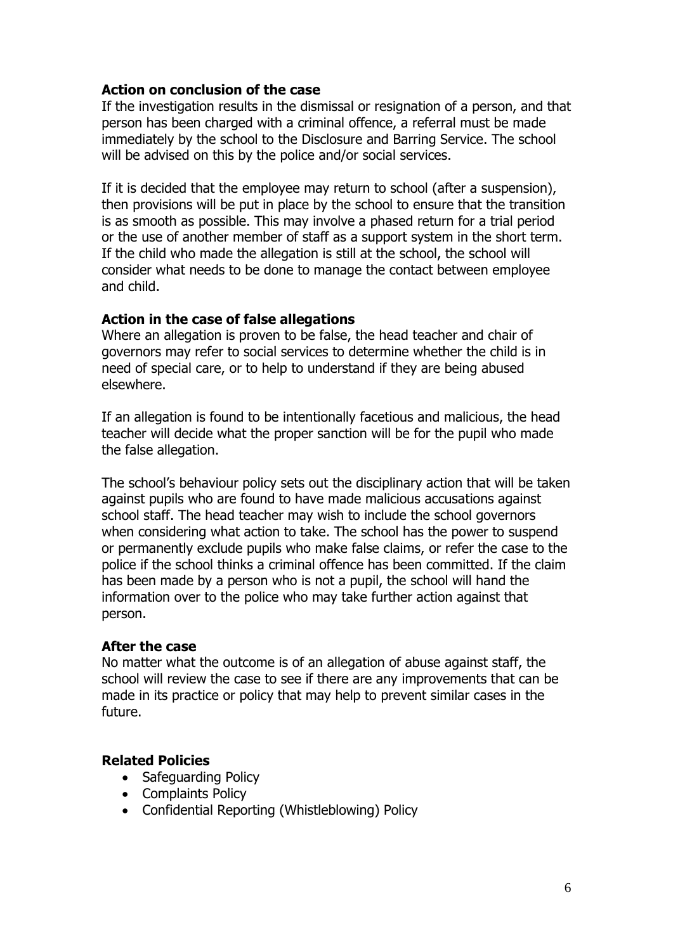# **Action on conclusion of the case**

If the investigation results in the dismissal or resignation of a person, and that person has been charged with a criminal offence, a referral must be made immediately by the school to the Disclosure and Barring Service. The school will be advised on this by the police and/or social services.

If it is decided that the employee may return to school (after a suspension), then provisions will be put in place by the school to ensure that the transition is as smooth as possible. This may involve a phased return for a trial period or the use of another member of staff as a support system in the short term. If the child who made the allegation is still at the school, the school will consider what needs to be done to manage the contact between employee and child.

#### **Action in the case of false allegations**

Where an allegation is proven to be false, the head teacher and chair of governors may refer to social services to determine whether the child is in need of special care, or to help to understand if they are being abused elsewhere.

If an allegation is found to be intentionally facetious and malicious, the head teacher will decide what the proper sanction will be for the pupil who made the false allegation.

The school's behaviour policy sets out the disciplinary action that will be taken against pupils who are found to have made malicious accusations against school staff. The head teacher may wish to include the school governors when considering what action to take. The school has the power to suspend or permanently exclude pupils who make false claims, or refer the case to the police if the school thinks a criminal offence has been committed. If the claim has been made by a person who is not a pupil, the school will hand the information over to the police who may take further action against that person.

#### **After the case**

No matter what the outcome is of an allegation of abuse against staff, the school will review the case to see if there are any improvements that can be made in its practice or policy that may help to prevent similar cases in the future.

# **Related Policies**

- Safeguarding Policy
- Complaints Policy
- Confidential Reporting (Whistleblowing) Policy